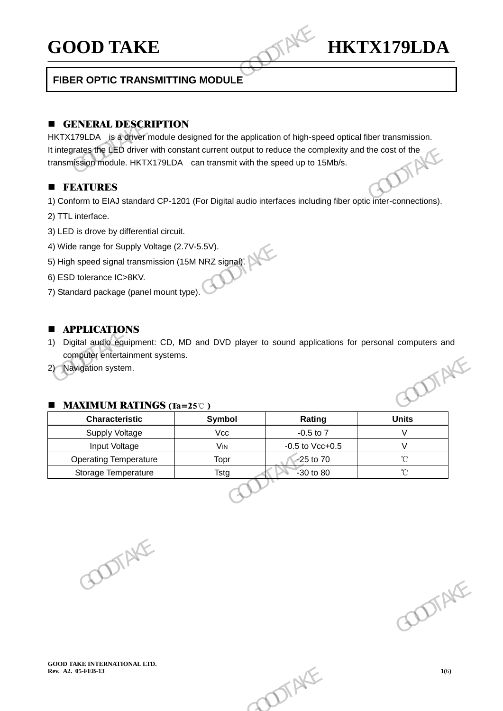# **GOOD TAKE HKTX179LDA**

# **FIBER OPTIC TRANSMITTING MODULE**

# **E** GENERAL DESCRIPTION

HKTX179LDA is a driver module designed for the application of high-speed optical fiber transmission. It integrates the LED driver with constant current output to reduce the complexity and the cost of the transmission module. HKTX179LDA can transmit with the speed up to 15Mb/s. transmission module. HKTX179LDA can transmit with the speed up to 15Mb/s. **GOOD TAKE**<br>
FIBER OPTIC TRANSMITTING MODULE<br> **EXECUTE COOPTIC TRANSMITTING MODULE**<br> **EXECUTED A** is a dever module designed for the application of high-specification<br>
thintegrates the LED driver with constant current outp

# **FEATURES**

-

1) Conform to EIAJ standard CP-1201 (For Digital audio interfaces including fiber optic inter-connections).

- 2) TTL interface.
- 3) LED is drove by differential circuit.
- 4) Wide range for Supply Voltage (2.7V-5.5V).
- 5) High speed signal transmission (15M NRZ signal).
- 6) ESD tolerance IC>8KV.
- 7) Standard package (panel mount type).

# **APPLICATIONS**

- 1) Digital audio equipment: CD, MD and DVD player to sound applications for personal computers and computer entertainment systems. It integrates the LED driver with constant current output to reduce the complexity and the cost of the<br>
transmission module. HKTX179LDA can transmit with the speed up to 15Mb/s.<br>
<br> **EDEATURES**<br>
1) Conform to EMJ standard
	- 2) Navigation system.

# ■ MAXIMUM RATINGS (Ta=25℃)

| <b>MAXIMUM RATINGS (Ta=25°C)</b><br><b>Characteristic</b> | Symbol                | Rating               | <b>Units</b>      |
|-----------------------------------------------------------|-----------------------|----------------------|-------------------|
| <b>Supply Voltage</b>                                     | Vcc                   | $-0.5$ to $7$        | $\vee$            |
| Input Voltage                                             | <b>V<sub>IN</sub></b> | $-0.5$ to Vcc $+0.5$ | $\vee$            |
| <b>Operating Temperature</b>                              | Topr                  | $\lambda$ 25 to 70   | $^\circ\!{\rm C}$ |
| Storage Temperature                                       | <b>Tstg</b>           | $-30$ to 80          | $\rm ^{\circ}C$   |
|                                                           |                       |                      |                   |

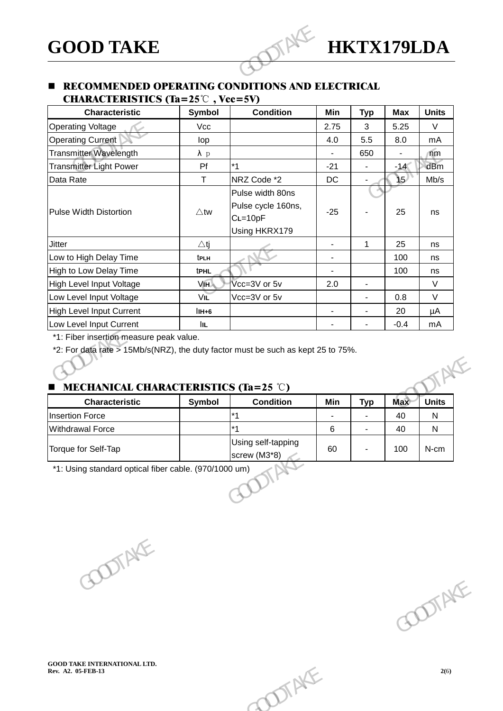# **GOOD TAKE HKTX179LDA**

# **E** RECOMMENDED OPERATING CONDITIONS AND ELECTRICAL CHARACTERISTICS (Ta= $25^{\circ}$ ). Vcc=5V)

| Symbol                                  | RECOMMENDED OPERATING CONDITIONS AND ELECTRICAL<br><b>CHARACTERISTICS</b> (Ta=25 $\degree$ C), Vcc=5V) |                |                |            |              |
|-----------------------------------------|--------------------------------------------------------------------------------------------------------|----------------|----------------|------------|--------------|
|                                         |                                                                                                        |                |                |            |              |
|                                         | <b>Condition</b>                                                                                       | Min            | <b>Typ</b>     | <b>Max</b> | <b>Units</b> |
| Vcc                                     |                                                                                                        | 2.75           | 3              | 5.25       | $\vee$       |
| lop                                     |                                                                                                        | 4.0            | 5.5            | 8.0        | mA           |
| $\lambda$ p                             |                                                                                                        | $\blacksquare$ | 650            |            | $\sqrt{m}$   |
| Pf                                      | $*1$                                                                                                   | $-21$          |                | $-14<$     | dBm          |
| T.                                      | NRZ Code *2                                                                                            | <b>DC</b>      |                | ነ5)        | Mb/s         |
| $\triangle$ tw                          | Pulse width 80ns<br>Pulse cycle 160ns,<br>$CL=10pF$<br>Using HKRX179                                   | $-25$          |                | 25         | ns           |
| $\triangle$ tj                          |                                                                                                        | ÷.             | $\mathbf{1}$   | 25         | ns           |
| t <sub>PLH</sub>                        |                                                                                                        | $\blacksquare$ |                | 100        | ns           |
| <b>tPHL</b>                             |                                                                                                        |                |                | 100        | ns           |
| VIH                                     | Vcc=3V or 5v                                                                                           | 2.0            | $\blacksquare$ |            | $\vee$       |
| VIL                                     | Vcc=3V or 5v                                                                                           |                |                | 0.8        | $\vee$       |
| $IIH+6$                                 |                                                                                                        | $\blacksquare$ | $\blacksquare$ | 20         | μA           |
| <b>IIL</b>                              |                                                                                                        |                |                | $-0.4$     | mA           |
| *1: Fiber insertion measure peak value. | *2: For data rate > 15Mb/s(NRZ), the duty factor must be such as kept 25 to 75%.                       |                |                |            |              |

# MECHANICAL CHARACTERISTICS (Ta=25 ℃)

| <b>Characteristic</b>   | Symbol | <b>Condition</b>                   | Min | <b>Typ</b> | <b>Max</b> | <b>Units</b> |
|-------------------------|--------|------------------------------------|-----|------------|------------|--------------|
| <b>Insertion Force</b>  |        | $*1$                               | ۰   | ٠          | 40         | N            |
| <b>Withdrawal Force</b> |        | $*1$                               | 6   | ۰          | 40         | N            |
| Torque for Self-Tap     |        | Using self-tapping<br>screw (M3*8) | 60  |            | 100        | N-cm         |
|                         |        |                                    |     |            |            |              |
|                         |        |                                    |     |            |            |              |
|                         |        |                                    |     |            |            |              |

GOODTAKE GOODTAKE GOODTAKE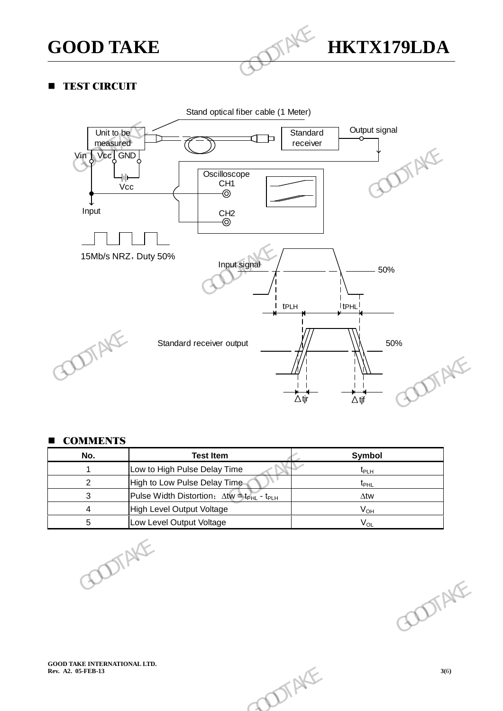

# **TEST CIRCUIT**

-



# **COMMENTS**

|                                                           | $\Delta$ tjr                                                      | $\Delta$ tjf       | OTAKE  |
|-----------------------------------------------------------|-------------------------------------------------------------------|--------------------|--------|
| <b>COMMENTS</b><br>No.                                    | <b>Test Item</b>                                                  | Symbol             |        |
| $\mathbf{1}$                                              | Low to High Pulse Delay Time                                      | $t_{\mathsf{PLH}}$ |        |
| $\overline{2}$                                            | High to Low Pulse Delay Time-                                     | $t_{\text{PHL}}$   |        |
| 3                                                         | Pulse Width Distortion; Atw = t <sub>PHL</sub> - t <sub>PLH</sub> | $\Delta$ tw        |        |
| $\overline{\mathbf{4}}$                                   | High Level Output Voltage                                         | $V_{OH}$           |        |
| 5                                                         | Low Level Output Voltage                                          | $V_{OL}$           |        |
|                                                           | DTAKE                                                             |                    | ODTAKE |
| <b>GOOD TAKE INTERNATIONAL LTD.</b><br>Rev. A2. 05-FEB-13 | DIAKE                                                             |                    | 3(6)   |
|                                                           |                                                                   |                    |        |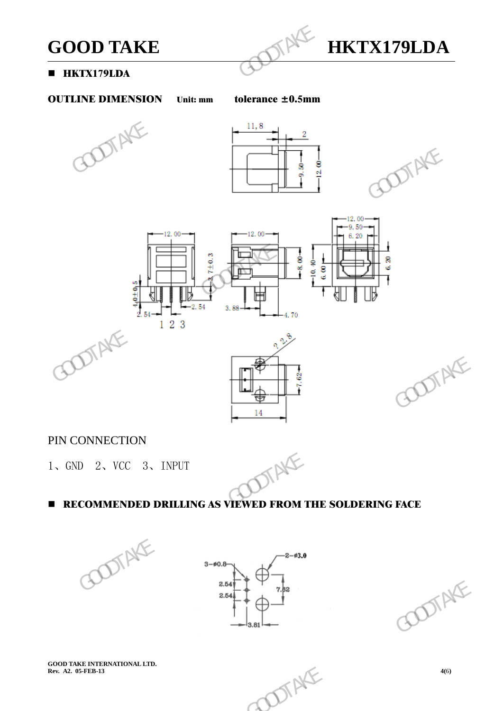

# **HKTX179LDA**

-

# OUTLINE DIMENSION Unit: mm tolerance ± 0.5mm









# PIN CONNECTION

1、GND 2、VCC 3、INPUT



# **RECOMMENDED DRILLING AS VIEWED FROM THE SOLDERING FACE**







**GOOD TAKE INTERNATIONAL LTD.** 

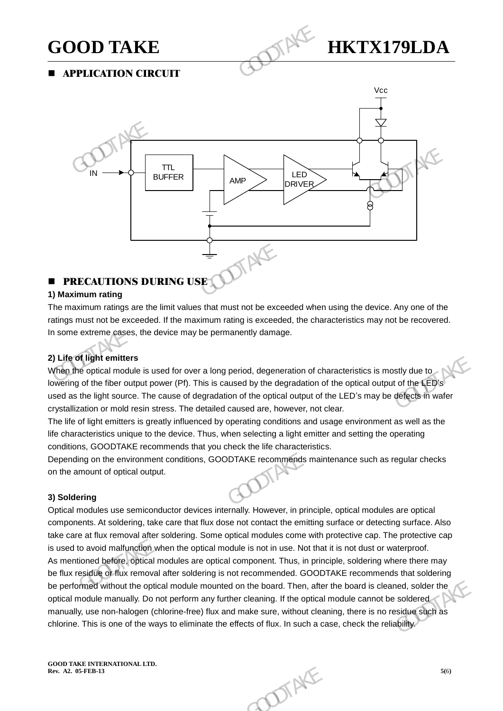-



APPLICATION CIRCUIT



# **PRECAUTIONS DURING USE**

# **1) Maximum rating**

The maximum ratings are the limit values that must not be exceeded when using the device. Any one of the ratings must not be exceeded. If the maximum rating is exceeded, the characteristics may not be recovered. In some extreme cases, the device may be permanently damage.

# **2) Life of light emitters**

When the optical module is used for over a long period, degeneration of characteristics is mostly due to lowering of the fiber output power (Pf). This is caused by the degradation of the optical output of the LED's used as the light source. The cause of degradation of the optical output of the LED's may be defects in wafer crystallization or mold resin stress. The detailed caused are, however, not clear.

The life of light emitters is greatly influenced by operating conditions and usage environment as well as the life characteristics unique to the device. Thus, when selecting a light emitter and setting the operating conditions, GOODTAKE recommends that you check the life characteristics.

Depending on the environment conditions, GOODTAKE recommends maintenance such as regular checks on the amount of optical output.

# **3) Soldering**

Optical modules use semiconductor devices internally. However, in principle, optical modules are optical components. At soldering, take care that flux dose not contact the emitting surface or detecting surface. Also take care at flux removal after soldering. Some optical modules come with protective cap. The protective cap is used to avoid malfunction when the optical module is not in use. Not that it is not dust or waterproof. As mentioned before, optical modules are optical component. Thus, in principle, soldering where there may be flux residue or flux removal after soldering is not recommended. GOODTAKE recommends that soldering be performed without the optical module mounted on the board. Then, after the board is cleaned, solder the optical module manually. Do not perform any further cleaning. If the optical module cannot be soldered manually, use non-halogen (chlorine-free) flux and make sure, without cleaning, there is no residue such as chlorine. This is one of the ways to eliminate the effects of flux. In such a case, check the reliability. **N** unit emters<br>
The optical module is used for over a long period, degeneration of characteristics is mostly due to<br>
got the fiber output power (Pf). This is caused by the degradation of the optical output of the LED's<br>
t devices internally. However, in principle, optical modules are optical<br>that flux dose not contact the emitting surface or detecting surface. Also<br>ring. Some optical modules come with protective cap. The protective cap<br>ne o